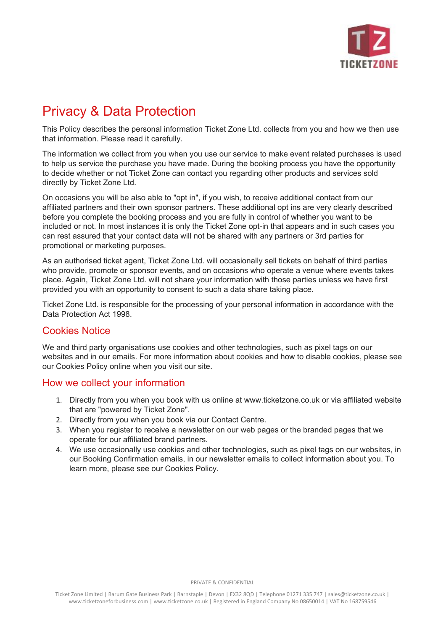

# Privacy & Data Protection

This Policy describes the personal information Ticket Zone Ltd. collects from you and how we then use that information. Please read it carefully.

The information we collect from you when you use our service to make event related purchases is used to help us service the purchase you have made. During the booking process you have the opportunity to decide whether or not Ticket Zone can contact you regarding other products and services sold directly by Ticket Zone Ltd.

On occasions you will be also able to "opt in", if you wish, to receive additional contact from our affiliated partners and their own sponsor partners. These additional opt ins are very clearly described before you complete the booking process and you are fully in control of whether you want to be included or not. In most instances it is only the Ticket Zone opt-in that appears and in such cases you can rest assured that your contact data will not be shared with any partners or 3rd parties for promotional or marketing purposes.

As an authorised ticket agent, Ticket Zone Ltd. will occasionally sell tickets on behalf of third parties who provide, promote or sponsor events, and on occasions who operate a venue where events takes place. Again, Ticket Zone Ltd. will not share your information with those parties unless we have first provided you with an opportunity to consent to such a data share taking place.

Ticket Zone Ltd. is responsible for the processing of your personal information in accordance with the Data Protection Act 1998.

# Cookies Notice

We and third party organisations use cookies and other technologies, such as pixel tags on our websites and in our emails. For more information about cookies and how to disable cookies, please see our Cookies Policy online when you visit our site.

# How we collect your information

- 1. Directly from you when you book with us online at www.ticketzone.co.uk or via affiliated website that are "powered by Ticket Zone".
- 2. Directly from you when you book via our Contact Centre.
- 3. When you register to receive a newsletter on our web pages or the branded pages that we operate for our affiliated brand partners.
- 4. We use occasionally use cookies and other technologies, such as pixel tags on our websites, in our Booking Confirmation emails, in our newsletter emails to collect information about you. To learn more, please see our Cookies Policy.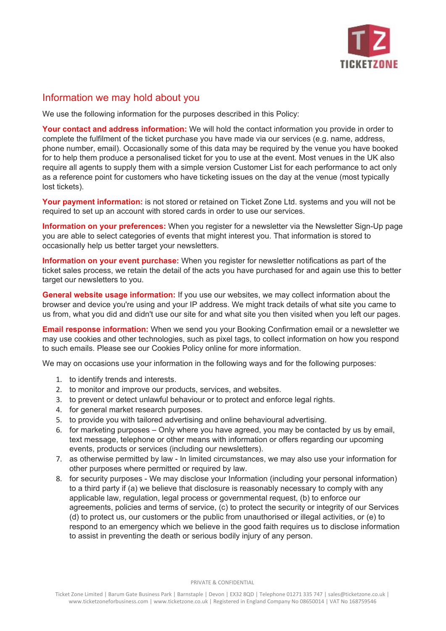

# Information we may hold about you

We use the following information for the purposes described in this Policy:

**Your contact and address information:** We will hold the contact information you provide in order to complete the fulfilment of the ticket purchase you have made via our services (e.g. name, address, phone number, email). Occasionally some of this data may be required by the venue you have booked for to help them produce a personalised ticket for you to use at the event. Most venues in the UK also require all agents to supply them with a simple version Customer List for each performance to act only as a reference point for customers who have ticketing issues on the day at the venue (most typically lost tickets).

**Your payment information:** is not stored or retained on Ticket Zone Ltd. systems and you will not be required to set up an account with stored cards in order to use our services.

**Information on your preferences:** When you register for a newsletter via the Newsletter Sign-Up page you are able to select categories of events that might interest you. That information is stored to occasionally help us better target your newsletters.

**Information on your event purchase:** When you register for newsletter notifications as part of the ticket sales process, we retain the detail of the acts you have purchased for and again use this to better target our newsletters to you.

**General website usage information:** If you use our websites, we may collect information about the browser and device you're using and your IP address. We might track details of what site you came to us from, what you did and didn't use our site for and what site you then visited when you left our pages.

**Email response information:** When we send you your Booking Confirmation email or a newsletter we may use cookies and other technologies, such as pixel tags, to collect information on how you respond to such emails. Please see our Cookies Policy online for more information.

We may on occasions use your information in the following ways and for the following purposes:

- 1. to identify trends and interests.
- 2. to monitor and improve our products, services, and websites.
- 3. to prevent or detect unlawful behaviour or to protect and enforce legal rights.
- 4. for general market research purposes.
- 5. to provide you with tailored advertising and online behavioural advertising.
- 6. for marketing purposes Only where you have agreed, you may be contacted by us by email, text message, telephone or other means with information or offers regarding our upcoming events, products or services (including our newsletters).
- 7. as otherwise permitted by law In limited circumstances, we may also use your information for other purposes where permitted or required by law.
- 8. for security purposes We may disclose your Information (including your personal information) to a third party if (a) we believe that disclosure is reasonably necessary to comply with any applicable law, regulation, legal process or governmental request, (b) to enforce our agreements, policies and terms of service, (c) to protect the security or integrity of our Services (d) to protect us, our customers or the public from unauthorised or illegal activities, or (e) to respond to an emergency which we believe in the good faith requires us to disclose information to assist in preventing the death or serious bodily injury of any person.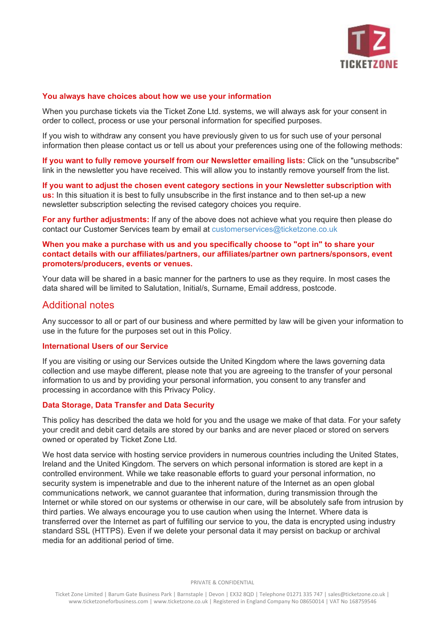

#### **You always have choices about how we use your information**

When you purchase tickets via the Ticket Zone Ltd. systems, we will always ask for your consent in order to collect, process or use your personal information for specified purposes.

If you wish to withdraw any consent you have previously given to us for such use of your personal information then please contact us or tell us about your preferences using one of the following methods:

**If you want to fully remove yourself from our Newsletter emailing lists:** Click on the "unsubscribe" link in the newsletter you have received. This will allow you to instantly remove yourself from the list.

**If you want to adjust the chosen event category sections in your Newsletter subscription with us:** In this situation it is best to fully unsubscribe in the first instance and to then set-up a new newsletter subscription selecting the revised category choices you require.

**For any further adjustments:** If any of the above does not achieve what you require then please do contact our Customer Services team by email at customerservices@ticketzone.co.uk

## **When you make a purchase with us and you specifically choose to "opt in" to share your contact details with our affiliates/partners, our affiliates/partner own partners/sponsors, event promoters/producers, events or venues.**

Your data will be shared in a basic manner for the partners to use as they require. In most cases the data shared will be limited to Salutation, Initial/s, Surname, Email address, postcode.

## Additional notes

Any successor to all or part of our business and where permitted by law will be given your information to use in the future for the purposes set out in this Policy.

### **International Users of our Service**

If you are visiting or using our Services outside the United Kingdom where the laws governing data collection and use maybe different, please note that you are agreeing to the transfer of your personal information to us and by providing your personal information, you consent to any transfer and processing in accordance with this Privacy Policy.

#### **Data Storage, Data Transfer and Data Security**

This policy has described the data we hold for you and the usage we make of that data. For your safety your credit and debit card details are stored by our banks and are never placed or stored on servers owned or operated by Ticket Zone Ltd.

We host data service with hosting service providers in numerous countries including the United States, Ireland and the United Kingdom. The servers on which personal information is stored are kept in a controlled environment. While we take reasonable efforts to guard your personal information, no security system is impenetrable and due to the inherent nature of the Internet as an open global communications network, we cannot guarantee that information, during transmission through the Internet or while stored on our systems or otherwise in our care, will be absolutely safe from intrusion by third parties. We always encourage you to use caution when using the Internet. Where data is transferred over the Internet as part of fulfilling our service to you, the data is encrypted using industry standard SSL (HTTPS). Even if we delete your personal data it may persist on backup or archival media for an additional period of time.